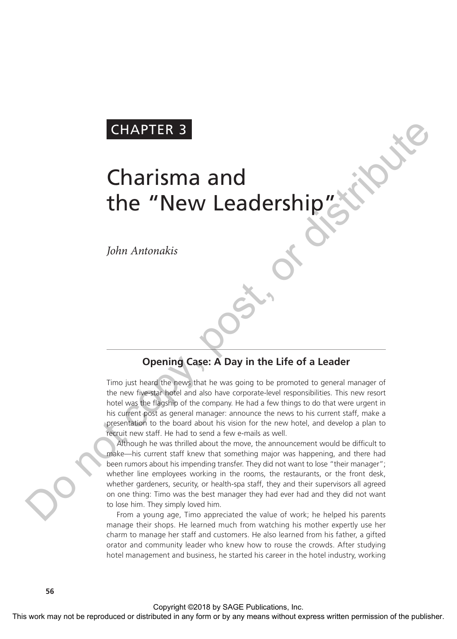# CHAPTER 3

# Charisma and the "New Leadership"

*John Antonakis*

# **Opening Case: A Day in the Life of a Leader**

Timo just heard the news that he was going to be promoted to general manager of the new five-star hotel and also have corporate-level responsibilities. This new resort hotel was the flagship of the company. He had a few things to do that were urgent in his current post as general manager: announce the news to his current staff, make a presentation to the board about his vision for the new hotel, and develop a plan to recruit new staff. He had to send a few e-mails as well.

Although he was thrilled about the move, the announcement would be difficult to make—his current staff knew that something major was happening, and there had been rumors about his impending transfer. They did not want to lose "their manager"; whether line employees working in the rooms, the restaurants, or the front desk, whether gardeners, security, or health-spa staff, they and their supervisors all agreed on one thing: Timo was the best manager they had ever had and they did not want to lose him. They simply loved him. This work may not be reproduced or distributed in any form or by any means without express written permission of the publisher. Do not copy, post, or distribute

From a young age, Timo appreciated the value of work; he helped his parents manage their shops. He learned much from watching his mother expertly use her charm to manage her staff and customers. He also learned from his father, a gifted orator and community leader who knew how to rouse the crowds. After studying hotel management and business, he started his career in the hotel industry, working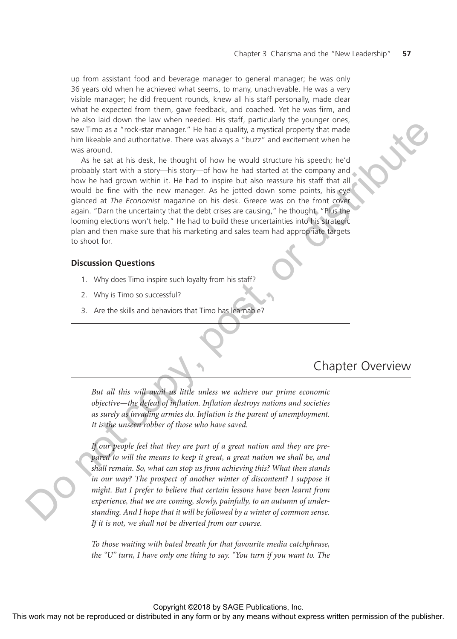up from assistant food and beverage manager to general manager; he was only 36 years old when he achieved what seems, to many, unachievable. He was a very visible manager; he did frequent rounds, knew all his staff personally, made clear what he expected from them, gave feedback, and coached. Yet he was firm, and he also laid down the law when needed. His staff, particularly the younger ones, saw Timo as a "rock-star manager." He had a quality, a mystical property that made him likeable and authoritative. There was always a "buzz" and excitement when he was around.

As he sat at his desk, he thought of how he would structure his speech; he'd probably start with a story—his story—of how he had started at the company and how he had grown within it. He had to inspire but also reassure his staff that all would be fine with the new manager. As he jotted down some points, his eye glanced at *The Economist* magazine on his desk. Greece was on the front cover again. "Darn the uncertainty that the debt crises are causing," he thought. "Plus the looming elections won't help." He had to build these uncertainties into his strategic plan and then make sure that his marketing and sales team had appropriate targets to shoot for. wa Through Characterizes the resonant or the reproduced or the reproduced or distributed in any form or the reproduced or distributed in any form or by any means were point. In any form or by any form or by any form or

### **Discussion Questions**

- 1. Why does Timo inspire such loyalty from his staff?
- 2. Why is Timo so successful?
- 3. Are the skills and behaviors that Timo has learnable?

# Chapter Overview

*But all this will avail us little unless we achieve our prime economic objective—the defeat of inflation. Inflation destroys nations and societies as surely as invading armies do. Inflation is the parent of unemployment. It is the unseen robber of those who have saved.*



*To those waiting with bated breath for that favourite media catchphrase, the "U" turn, I have only one thing to say. "You turn if you want to. The*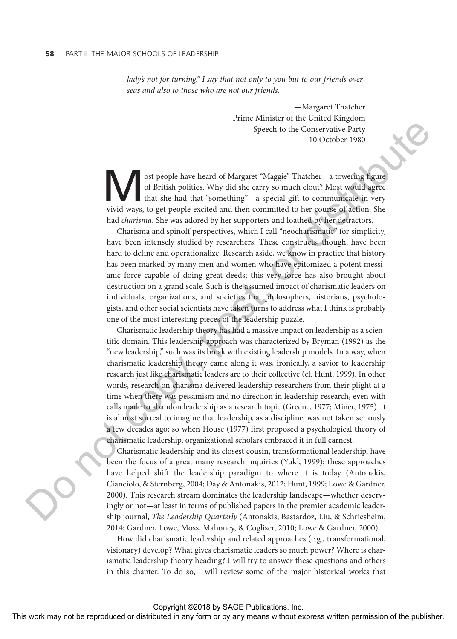*lady's not for turning." I say that not only to you but to our friends overseas and also to those who are not our friends.*

> —Margaret Thatcher Prime Minister of the United Kingdom Speech to the Conservative Party 10 October 1980

ost people have heard of Margaret "Maggie" Thatcher—a towering figure<br>of British politics. Why did she carry so much clout? Most would agree<br>that she had that "something"—a special gift to communicate in very<br>vivid wave to of British politics. Why did she carry so much clout? Most would agree that she had that "something"—a special gift to communicate in very vivid ways, to get people excited and then committed to her course of action. She had *charisma*. She was adored by her supporters and loathed by her detractors.

Charisma and spinoff perspectives, which I call "neocharismatic" for simplicity, have been intensely studied by researchers. These constructs, though, have been hard to define and operationalize. Research aside, we know in practice that history has been marked by many men and women who have epitomized a potent messianic force capable of doing great deeds; this very force has also brought about destruction on a grand scale. Such is the assumed impact of charismatic leaders on individuals, organizations, and societies that philosophers, historians, psychologists, and other social scientists have taken turns to address what I think is probably one of the most interesting pieces of the leadership puzzle.

Charismatic leadership theory has had a massive impact on leadership as a scientific domain. This leadership approach was characterized by Bryman (1992) as the "new leadership," such was its break with existing leadership models. In a way, when charismatic leadership theory came along it was, ironically, a savior to leadership research just like charismatic leaders are to their collective (cf. Hunt, 1999). In other words, research on charisma delivered leadership researchers from their plight at a time when there was pessimism and no direction in leadership research, even with calls made to abandon leadership as a research topic (Greene, 1977; Miner, 1975). It is almost surreal to imagine that leadership, as a discipline, was not taken seriously a few decades ago; so when House (1977) first proposed a psychological theory of charismatic leadership, organizational scholars embraced it in full earnest. Speech to the Conservative Protos Conservative Protos Conservative Protos Conservative Conservative Conservative Conservative Conservative Conservative Conservative Conservative Conservative Conservative Conservative Cons

Charismatic leadership and its closest cousin, transformational leadership, have been the focus of a great many research inquiries (Yukl, 1999); these approaches have helped shift the leadership paradigm to where it is today (Antonakis, Cianciolo, & Sternberg, 2004; Day & Antonakis, 2012; Hunt, 1999; Lowe & Gardner, 2000). This research stream dominates the leadership landscape—whether deservingly or not—at least in terms of published papers in the premier academic leadership journal, *The Leadership Quarterly* (Antonakis, Bastardoz, Liu, & Schriesheim, 2014; Gardner, Lowe, Moss, Mahoney, & Cogliser, 2010; Lowe & Gardner, 2000).

How did charismatic leadership and related approaches (e.g., transformational, visionary) develop? What gives charismatic leaders so much power? Where is charismatic leadership theory heading? I will try to answer these questions and others in this chapter. To do so, I will review some of the major historical works that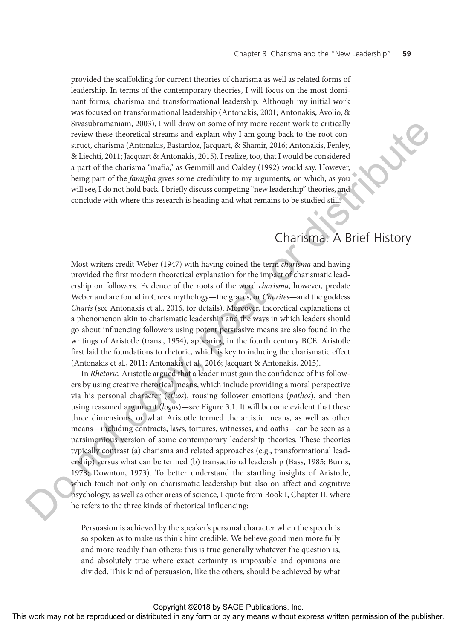provided the scaffolding for current theories of charisma as well as related forms of leadership. In terms of the contemporary theories, I will focus on the most dominant forms, charisma and transformational leadership. Although my initial work was focused on transformational leadership (Antonakis, 2001; Antonakis, Avolio, & Sivasubramaniam, 2003), I will draw on some of my more recent work to critically review these theoretical streams and explain why I am going back to the root construct, charisma (Antonakis, Bastardoz, Jacquart, & Shamir, 2016; Antonakis, Fenley, & Liechti, 2011; Jacquart & Antonakis, 2015). I realize, too, that I would be considered a part of the charisma "mafia," as Gemmill and Oakley (1992) would say. However, being part of the *famiglia* gives some credibility to my arguments, on which, as you will see, I do not hold back. I briefly discuss competing "new leadership" theories, and conclude with where this research is heading and what remains to be studied still.

# Charisma: A Brief History

Most writers credit Weber (1947) with having coined the term *charisma* and having provided the first modern theoretical explanation for the impact of charismatic leadership on followers. Evidence of the roots of the word *charisma*, however, predate Weber and are found in Greek mythology—the graces, or *Charites*—and the goddess *Charis* (see Antonakis et al., 2016, for details). Moreover, theoretical explanations of a phenomenon akin to charismatic leadership and the ways in which leaders should go about influencing followers using potent persuasive means are also found in the writings of Aristotle (trans., 1954), appearing in the fourth century BCE. Aristotle first laid the foundations to rhetoric, which is key to inducing the charismatic effect (Antonakis et al., 2011; Antonakis et al., 2016; Jacquart & Antonakis, 2015).

In *Rhetoric,* Aristotle argued that a leader must gain the confidence of his followers by using creative rhetorical means, which include providing a moral perspective via his personal character (*ethos*), rousing follower emotions (*pathos*), and then using reasoned argument (*logos*)—see Figure 3.1. It will become evident that these three dimensions, or what Aristotle termed the artistic means, as well as other means—including contracts, laws, tortures, witnesses, and oaths—can be seen as a parsimonious version of some contemporary leadership theories. These theories typically contrast (a) charisma and related approaches (e.g., transformational leadership) versus what can be termed (b) transactional leadership (Bass, 1985; Burns, 1978; Downton, 1973). To better understand the startling insights of Aristotle, which touch not only on charismatic leadership but also on affect and cognitive psychology, as well as other areas of science, I quote from Book I, Chapter II, where he refers to the three kinds of rhetorical influencing: Swork may not be repressed with the relation of the publisher and the relation or between the reproduced or distributed in any form or by any means with the publisher and the publisher. This we reconciled the publisher an

Persuasion is achieved by the speaker's personal character when the speech is so spoken as to make us think him credible. We believe good men more fully and more readily than others: this is true generally whatever the question is, and absolutely true where exact certainty is impossible and opinions are divided. This kind of persuasion, like the others, should be achieved by what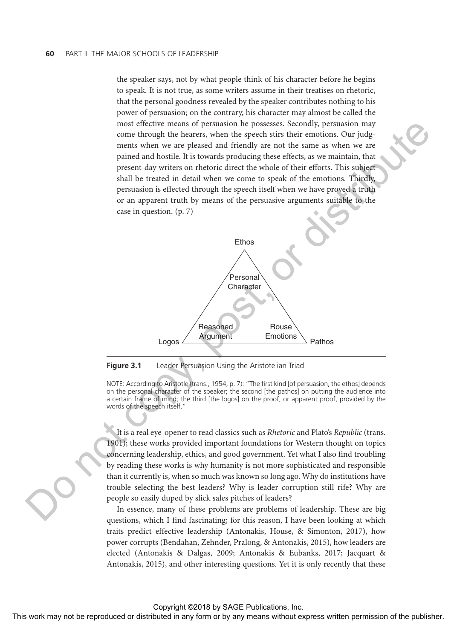the speaker says, not by what people think of his character before he begins to speak. It is not true, as some writers assume in their treatises on rhetoric, that the personal goodness revealed by the speaker contributes nothing to his power of persuasion; on the contrary, his character may almost be called the most effective means of persuasion he possesses. Secondly, persuasion may come through the hearers, when the speech stirs their emotions. Our judgments when we are pleased and friendly are not the same as when we are pained and hostile. It is towards producing these effects, as we maintain, that present-day writers on rhetoric direct the whole of their efforts. This subject shall be treated in detail when we come to speak of the emotions. Thirdly, persuasion is effected through the speech itself when we have proved a truth or an apparent truth by means of the persuasive arguments suitable to the case in question. (p. 7)



**Figure 3.1** Leader Persuasion Using the Aristotelian Triad

NOTE: According to Aristotle (trans., 1954, p. 7): "The first kind [of persuasion, the ethos] depends on the personal character of the speaker; the second [the pathos] on putting the audience into a certain frame of mind; the third [the logos] on the proof, or apparent proof, provided by the words of the speech itself."

It is a real eye-opener to read classics such as *Rhetoric* and Plato's *Republic* (trans. 1901); these works provided important foundations for Western thought on topics concerning leadership, ethics, and good government. Yet what I also find troubling by reading these works is why humanity is not more sophisticated and responsible than it currently is, when so much was known so long ago. Why do institutions have trouble selecting the best leaders? Why is leader corruption still rife? Why are people so easily duped by slick sales pitches of leaders?

In essence, many of these problems are problems of leadership. These are big questions, which I find fascinating; for this reason, I have been looking at which traits predict effective leadership (Antonakis, House, & Simonton, 2017), how power corrupts (Bendahan, Zehnder, Pralong, & Antonakis, 2015), how leaders are elected (Antonakis & Dalgas, 2009; Antonakis & Eubanks, 2017; Jacquart & Antonakis, 2015), and other interesting questions. Yet it is only recently that these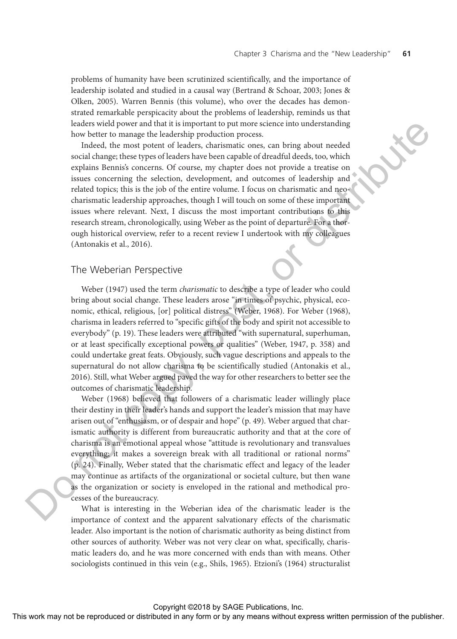problems of humanity have been scrutinized scientifically, and the importance of leadership isolated and studied in a causal way (Bertrand & Schoar, 2003; Jones & Olken, 2005). Warren Bennis (this volume), who over the decades has demonstrated remarkable perspicacity about the problems of leadership, reminds us that leaders wield power and that it is important to put more science into understanding how better to manage the leadership production process.

Indeed, the most potent of leaders, charismatic ones, can bring about needed social change; these types of leaders have been capable of dreadful deeds, too, which explains Bennis's concerns. Of course, my chapter does not provide a treatise on issues concerning the selection, development, and outcomes of leadership and related topics; this is the job of the entire volume. I focus on charismatic and neocharismatic leadership approaches, though I will touch on some of these important issues where relevant. Next, I discuss the most important contributions to this research stream, chronologically, using Weber as the point of departure. For a thorough historical overview, refer to a recent review I undertook with my colleagues (Antonakis et al., 2016).

### The Weberian Perspective

Weber (1947) used the term *charismatic* to describe a type of leader who could bring about social change. These leaders arose "in times of psychic, physical, economic, ethical, religious, [or] political distress" (Weber, 1968). For Weber (1968), charisma in leaders referred to "specific gifts of the body and spirit not accessible to everybody" (p. 19). These leaders were attributed "with supernatural, superhuman, or at least specifically exceptional powers or qualities" (Weber, 1947, p. 358) and could undertake great feats. Obviously, such vague descriptions and appeals to the supernatural do not allow charisma to be scientifically studied (Antonakis et al., 2016). Still, what Weber argued paved the way for other researchers to better see the outcomes of charismatic leadership. Index work provides in a computer in publisher with the internal may not be reproduced to the reproduced or distributed in any form or by any means with the results of the copyright or distributed in any means when the re

Weber (1968) believed that followers of a charismatic leader willingly place their destiny in their leader's hands and support the leader's mission that may have arisen out of "enthusiasm, or of despair and hope" (p. 49). Weber argued that charismatic authority is different from bureaucratic authority and that at the core of charisma is an emotional appeal whose "attitude is revolutionary and transvalues everything; it makes a sovereign break with all traditional or rational norms" (p. 24). Finally, Weber stated that the charismatic effect and legacy of the leader may continue as artifacts of the organizational or societal culture, but then wane as the organization or society is enveloped in the rational and methodical processes of the bureaucracy.

What is interesting in the Weberian idea of the charismatic leader is the importance of context and the apparent salvationary effects of the charismatic leader. Also important is the notion of charismatic authority as being distinct from other sources of authority. Weber was not very clear on what, specifically, charismatic leaders do, and he was more concerned with ends than with means. Other sociologists continued in this vein (e.g., Shils, 1965). Etzioni's (1964) structuralist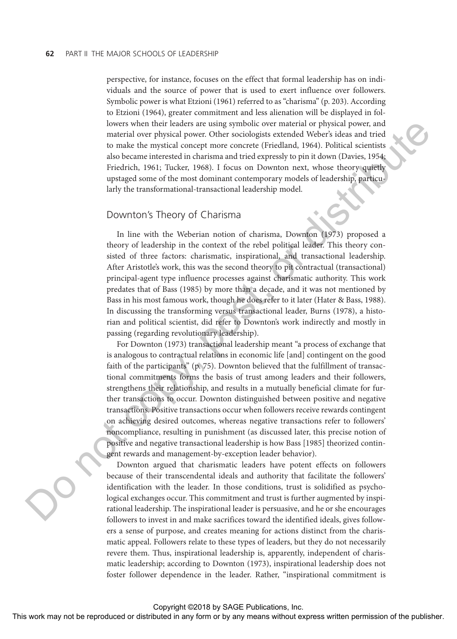perspective, for instance, focuses on the effect that formal leadership has on individuals and the source of power that is used to exert influence over followers. Symbolic power is what Etzioni (1961) referred to as "charisma" (p. 203). According to Etzioni (1964), greater commitment and less alienation will be displayed in followers when their leaders are using symbolic over material or physical power, and material over physical power. Other sociologists extended Weber's ideas and tried to make the mystical concept more concrete (Friedland, 1964). Political scientists also became interested in charisma and tried expressly to pin it down (Davies, 1954; Friedrich, 1961; Tucker, 1968). I focus on Downton next, whose theory quietly upstaged some of the most dominant contemporary models of leadership, particularly the transformational-transactional leadership model.

### Downton's Theory of Charisma

In line with the Weberian notion of charisma, Downton (1973) proposed a theory of leadership in the context of the rebel political leader. This theory consisted of three factors: charismatic, inspirational, and transactional leadership. After Aristotle's work, this was the second theory to pit contractual (transactional) principal-agent type influence processes against charismatic authority. This work predates that of Bass (1985) by more than a decade, and it was not mentioned by Bass in his most famous work, though he does refer to it later (Hater & Bass, 1988). In discussing the transforming versus transactional leader, Burns (1978), a historian and political scientist, did refer to Downton's work indirectly and mostly in passing (regarding revolutionary leadership).

For Downton (1973) transactional leadership meant "a process of exchange that is analogous to contractual relations in economic life [and] contingent on the good faith of the participants" (p. 75). Downton believed that the fulfillment of transactional commitments forms the basis of trust among leaders and their followers, strengthens their relationship, and results in a mutually beneficial climate for further transactions to occur. Downton distinguished between positive and negative transactions. Positive transactions occur when followers receive rewards contingent on achieving desired outcomes, whereas negative transactions refer to followers' noncompliance, resulting in punishment (as discussed later, this precise notion of positive and negative transactional leadership is how Bass [1985] theorized contingent rewards and management-by-exception leader behavior). From the rest control in any may be reproduced or means and the publisher and the rest of the rest or the rest or the rest or by any means with the rest or the rest or the rest or distributed in any form or by any means w

Downton argued that charismatic leaders have potent effects on followers because of their transcendental ideals and authority that facilitate the followers' identification with the leader. In those conditions, trust is solidified as psychological exchanges occur. This commitment and trust is further augmented by inspirational leadership. The inspirational leader is persuasive, and he or she encourages followers to invest in and make sacrifices toward the identified ideals, gives followers a sense of purpose, and creates meaning for actions distinct from the charismatic appeal. Followers relate to these types of leaders, but they do not necessarily revere them. Thus, inspirational leadership is, apparently, independent of charismatic leadership; according to Downton (1973), inspirational leadership does not foster follower dependence in the leader. Rather, "inspirational commitment is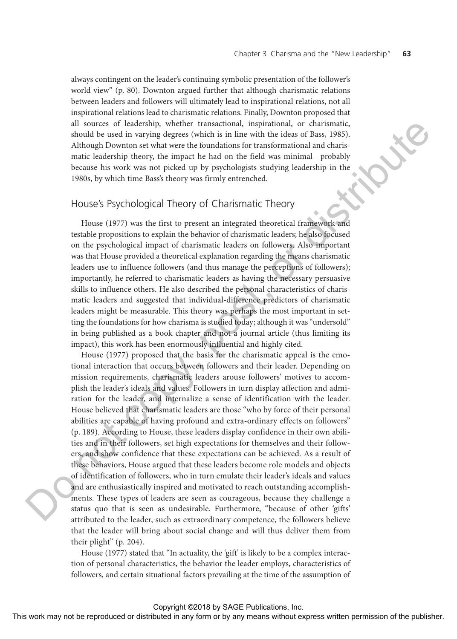always contingent on the leader's continuing symbolic presentation of the follower's world view" (p. 80). Downton argued further that although charismatic relations between leaders and followers will ultimately lead to inspirational relations, not all inspirational relations lead to charismatic relations. Finally, Downton proposed that all sources of leadership, whether transactional, inspirational, or charismatic, should be used in varying degrees (which is in line with the ideas of Bass, 1985). Although Downton set what were the foundations for transformational and charismatic leadership theory, the impact he had on the field was minimal—probably because his work was not picked up by psychologists studying leadership in the 1980s, by which time Bass's theory was firmly entrenched.

### House's Psychological Theory of Charismatic Theory

House (1977) was the first to present an integrated theoretical framework and testable propositions to explain the behavior of charismatic leaders; he also focused on the psychological impact of charismatic leaders on followers. Also important was that House provided a theoretical explanation regarding the means charismatic leaders use to influence followers (and thus manage the perceptions of followers); importantly, he referred to charismatic leaders as having the necessary persuasive skills to influence others. He also described the personal characteristics of charismatic leaders and suggested that individual-difference predictors of charismatic leaders might be measurable. This theory was perhaps the most important in setting the foundations for how charisma is studied today; although it was "undersold" in being published as a book chapter and not a journal article (thus limiting its impact), this work has been enormously influential and highly cited.

House (1977) proposed that the basis for the charismatic appeal is the emotional interaction that occurs between followers and their leader. Depending on mission requirements, charismatic leaders arouse followers' motives to accomplish the leader's ideals and values. Followers in turn display affection and admiration for the leader, and internalize a sense of identification with the leader. House believed that charismatic leaders are those "who by force of their personal abilities are capable of having profound and extra-ordinary effects on followers" (p. 189). According to House, these leaders display confidence in their own abilities and in their followers, set high expectations for themselves and their followers, and show confidence that these expectations can be achieved. As a result of these behaviors, House argued that these leaders become role models and objects of identification of followers, who in turn emulate their leader's ideals and values and are enthusiastically inspired and motivated to reach outstanding accomplishments. These types of leaders are seen as courageous, because they challenge a status quo that is seen as undesirable. Furthermore, "because of other 'gifts' attributed to the leader, such as extraordinary competence, the followers believe that the leader will bring about social change and will thus deliver them from their plight" (p. 204). all one of the restricted or the restricted or distributed in any means when the repression of the reproduced or the restributed in any means we are the restributed in the restributed in a control of the restributed in a c

House (1977) stated that "In actuality, the 'gift' is likely to be a complex interaction of personal characteristics, the behavior the leader employs, characteristics of followers, and certain situational factors prevailing at the time of the assumption of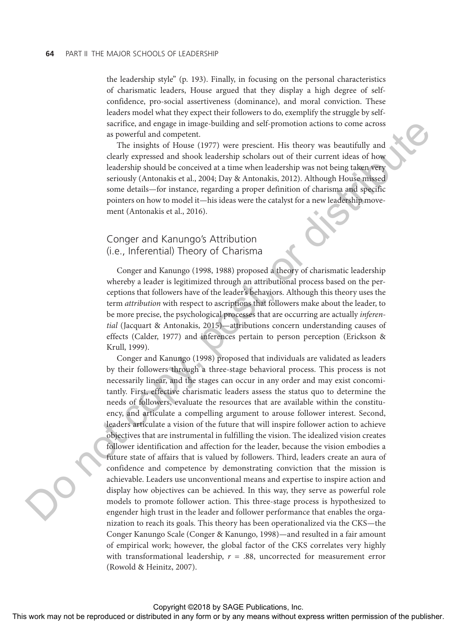the leadership style" (p. 193). Finally, in focusing on the personal characteristics of charismatic leaders, House argued that they display a high degree of selfconfidence, pro-social assertiveness (dominance), and moral conviction. These leaders model what they expect their followers to do, exemplify the struggle by selfsacrifice, and engage in image-building and self-promotion actions to come across as powerful and competent.

The insights of House (1977) were prescient. His theory was beautifully and clearly expressed and shook leadership scholars out of their current ideas of how leadership should be conceived at a time when leadership was not being taken very seriously (Antonakis et al., 2004; Day & Antonakis, 2012). Although House missed some details—for instance, regarding a proper definition of charisma and specific pointers on how to model it—his ideas were the catalyst for a new leadership movement (Antonakis et al., 2016).

# Conger and Kanungo's Attribution (i.e., Inferential) Theory of Charisma

Conger and Kanungo (1998, 1988) proposed a theory of charismatic leadership whereby a leader is legitimized through an attributional process based on the perceptions that followers have of the leader's behaviors. Although this theory uses the term *attribution* with respect to ascriptions that followers make about the leader, to be more precise, the psychological processes that are occurring are actually *inferential* (Jacquart & Antonakis, 2015)—attributions concern understanding causes of effects (Calder, 1977) and inferences pertain to person perception (Erickson & Krull, 1999).

Conger and Kanungo (1998) proposed that individuals are validated as leaders by their followers through a three-stage behavioral process. This process is not necessarily linear, and the stages can occur in any order and may exist concomitantly. First, effective charismatic leaders assess the status quo to determine the needs of followers, evaluate the resources that are available within the constituency, and articulate a compelling argument to arouse follower interest. Second, leaders articulate a vision of the future that will inspire follower action to achieve objectives that are instrumental in fulfilling the vision. The idealized vision creates follower identification and affection for the leader, because the vision embodies a future state of affairs that is valued by followers. Third, leaders create an aura of confidence and competence by demonstrating conviction that the mission is achievable. Leaders use unconventional means and expertise to inspire action and display how objectives can be achieved. In this way, they serve as powerful role models to promote follower action. This three-stage process is hypothesized to engender high trust in the leader and follower performance that enables the organization to reach its goals. This theory has been operationalized via the CKS—the Conger Kanungo Scale (Conger & Kanungo, 1998)—and resulted in a fair amount of empirical work; however, the global factor of the CKS correlates very highly with transformational leadership,  $r = .88$ , uncorrected for measurement error (Rowold & Heinitz, 2007). Example the results of the reproduced or distributed in any form of the reproduced or distributed in any form or by any means we could also the reproduced in any form or by a state of the publisher of the publisher. This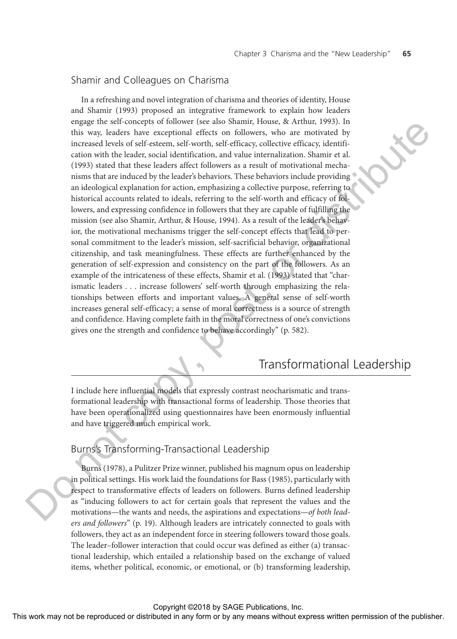### Shamir and Colleagues on Charisma

In a refreshing and novel integration of charisma and theories of identity, House and Shamir (1993) proposed an integrative framework to explain how leaders engage the self-concepts of follower (see also Shamir, House, & Arthur, 1993). In this way, leaders have exceptional effects on followers, who are motivated by increased levels of self-esteem, self-worth, self-efficacy, collective efficacy, identification with the leader, social identification, and value internalization. Shamir et al. (1993) stated that these leaders affect followers as a result of motivational mechanisms that are induced by the leader's behaviors. These behaviors include providing an ideological explanation for action, emphasizing a collective purpose, referring to historical accounts related to ideals, referring to the self-worth and efficacy of followers, and expressing confidence in followers that they are capable of fulfilling the mission (see also Shamir, Arthur, & House, 1994). As a result of the leader's behavior, the motivational mechanisms trigger the self-concept effects that lead to personal commitment to the leader's mission, self-sacrificial behavior, organizational citizenship, and task meaningfulness. These effects are further enhanced by the generation of self-expression and consistency on the part of the followers. As an example of the intricateness of these effects, Shamir et al. (1993) stated that "charismatic leaders . . . increase followers' self-worth through emphasizing the relationships between efforts and important values. A general sense of self-worth increases general self-efficacy; a sense of moral correctness is a source of strength and confidence. Having complete faith in the moral correctness of one's convictions gives one the strength and confidence to behave accordingly" (p. 582). Figure that accelerate the representation of the representation of the relationship of the relationship in any form or by any means were permission or  $\alpha$  that is a mean of the publisher. The relationship is a mean of th

# Transformational Leadership

I include here influential models that expressly contrast neocharismatic and transformational leadership with transactional forms of leadership. Those theories that have been operationalized using questionnaires have been enormously influential and have triggered much empirical work.

# Burns's Transforming-Transactional Leadership

Burns (1978), a Pulitzer Prize winner, published his magnum opus on leadership in political settings. His work laid the foundations for Bass (1985), particularly with respect to transformative effects of leaders on followers. Burns defined leadership as "inducing followers to act for certain goals that represent the values and the motivations—the wants and needs, the aspirations and expectations—*of both leaders and followers*" (p. 19). Although leaders are intricately connected to goals with followers, they act as an independent force in steering followers toward those goals. The leader–follower interaction that could occur was defined as either (a) transactional leadership, which entailed a relationship based on the exchange of valued items, whether political, economic, or emotional, or (b) transforming leadership,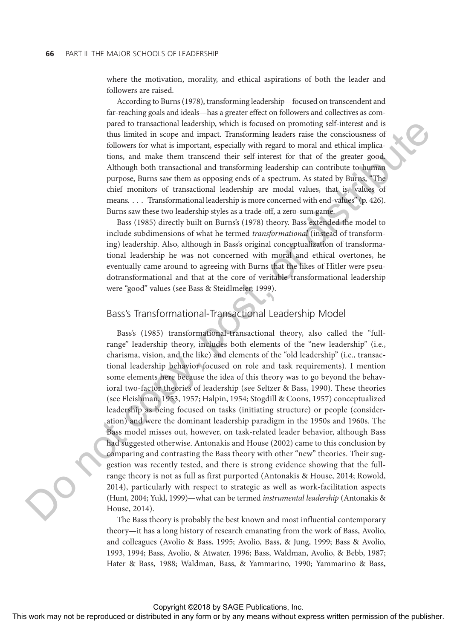where the motivation, morality, and ethical aspirations of both the leader and followers are raised.

According to Burns (1978), transforming leadership—focused on transcendent and far-reaching goals and ideals—has a greater effect on followers and collectives as compared to transactional leadership, which is focused on promoting self-interest and is thus limited in scope and impact. Transforming leaders raise the consciousness of followers for what is important, especially with regard to moral and ethical implications, and make them transcend their self-interest for that of the greater good. Although both transactional and transforming leadership can contribute to human purpose, Burns saw them as opposing ends of a spectrum. As stated by Burns, "The chief monitors of transactional leadership are modal values, that is, values of means. . . . Transformational leadership is more concerned with end-values" (p. 426). Burns saw these two leadership styles as a trade-off, a zero-sum game.

Bass (1985) directly built on Burns's (1978) theory. Bass extended the model to include subdimensions of what he termed *transformational* (instead of transforming) leadership. Also, although in Bass's original conceptualization of transformational leadership he was not concerned with moral and ethical overtones, he eventually came around to agreeing with Burns that the likes of Hitler were pseudotransformational and that at the core of veritable transformational leadership were "good" values (see Bass & Steidlmeier, 1999).

### Bass's Transformational-Transactional Leadership Model

Bass's (1985) transformational-transactional theory, also called the "fullrange" leadership theory, includes both elements of the "new leadership" (i.e., charisma, vision, and the like) and elements of the "old leadership" (i.e., transactional leadership behavior focused on role and task requirements). I mention some elements here because the idea of this theory was to go beyond the behavioral two-factor theories of leadership (see Seltzer & Bass, 1990). These theories (see Fleishman, 1953, 1957; Halpin, 1954; Stogdill & Coons, 1957) conceptualized leadership as being focused on tasks (initiating structure) or people (consideration) and were the dominant leadership paradigm in the 1950s and 1960s. The Bass model misses out, however, on task-related leader behavior, although Bass had suggested otherwise. Antonakis and House (2002) came to this conclusion by comparing and contrasting the Bass theory with other "new" theories. Their suggestion was recently tested, and there is strong evidence showing that the fullrange theory is not as full as first purported (Antonakis & House, 2014; Rowold, 2014), particularly with respect to strategic as well as work-facilitation aspects (Hunt, 2004; Yukl, 1999)—what can be termed *instrumental leadership* (Antonakis & House, 2014). There is the rest may not be reproduced or distributed or the rest may not be reproduced to the reproduced or the response with the response of the control of the response of the control or by any form or by any form or b

The Bass theory is probably the best known and most influential contemporary theory—it has a long history of research emanating from the work of Bass, Avolio, and colleagues (Avolio & Bass, 1995; Avolio, Bass, & Jung, 1999; Bass & Avolio, 1993, 1994; Bass, Avolio, & Atwater, 1996; Bass, Waldman, Avolio, & Bebb, 1987; Hater & Bass, 1988; Waldman, Bass, & Yammarino, 1990; Yammarino & Bass,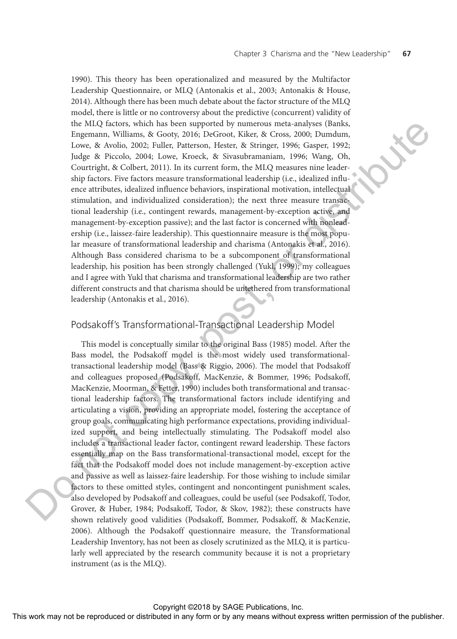1990). This theory has been operationalized and measured by the Multifactor Leadership Questionnaire, or MLQ (Antonakis et al., 2003; Antonakis & House, 2014). Although there has been much debate about the factor structure of the MLQ model, there is little or no controversy about the predictive (concurrent) validity of the MLQ factors, which has been supported by numerous meta-analyses (Banks, Engemann, Williams, & Gooty, 2016; DeGroot, Kiker, & Cross, 2000; Dumdum, Lowe, & Avolio, 2002; Fuller, Patterson, Hester, & Stringer, 1996; Gasper, 1992; Judge & Piccolo, 2004; Lowe, Kroeck, & Sivasubramaniam, 1996; Wang, Oh, Courtright, & Colbert, 2011). In its current form, the MLQ measures nine leadership factors. Five factors measure transformational leadership (i.e., idealized influence attributes, idealized influence behaviors, inspirational motivation, intellectual stimulation, and individualized consideration); the next three measure transactional leadership (i.e., contingent rewards, management-by-exception active, and management-by-exception passive); and the last factor is concerned with nonleadership (i.e., laissez-faire leadership). This questionnaire measure is the most popular measure of transformational leadership and charisma (Antonakis et al., 2016). Although Bass considered charisma to be a subcomponent of transformational leadership, his position has been strongly challenged (Yukl, 1999); my colleagues and I agree with Yukl that charisma and transformational leadership are two rather different constructs and that charisma should be untethered from transformational leadership (Antonakis et al., 2016).

# Podsakoff's Transformational-Transactional Leadership Model

This model is conceptually similar to the original Bass (1985) model. After the Bass model, the Podsakoff model is the most widely used transformationaltransactional leadership model (Bass & Riggio, 2006). The model that Podsakoff and colleagues proposed (Podsakoff, MacKenzie, & Bommer, 1996; Podsakoff, MacKenzie, Moorman, & Fetter, 1990) includes both transformational and transactional leadership factors. The transformational factors include identifying and articulating a vision, providing an appropriate model, fostering the acceptance of group goals, communicating high performance expectations, providing individualized support, and being intellectually stimulating. The Podsakoff model also includes a transactional leader factor, contingent reward leadership. These factors essentially map on the Bass transformational-transactional model, except for the fact that the Podsakoff model does not include management-by-exception active and passive as well as laissez-faire leadership. For those wishing to include similar factors to these omitted styles, contingent and noncontingent punishment scales, also developed by Podsakoff and colleagues, could be useful (see Podsakoff, Todor, Grover, & Huber, 1984; Podsakoff, Todor, & Skov, 1982); these constructs have shown relatively good validities (Podsakoff, Bommer, Podsakoff, & MacKenzie, 2006). Although the Podsakoff questionnaire measure, the Transformational Leadership Inventory, has not been as closely scrutinized as the MLQ, it is particularly well appreciated by the research community because it is not a proprietary instrument (as is the MLQ). The model control is the rest or different or distributed in any form or by any form or  $k$  model or distributed in any form or  $k$  model or  $k$  ( $k$ ) and  $k$  ( $k$ ) and  $k$  ( $k$ ) and  $k$  ( $k$ ) and  $k$  ( $k$ ) and  $k$  ( $k$ )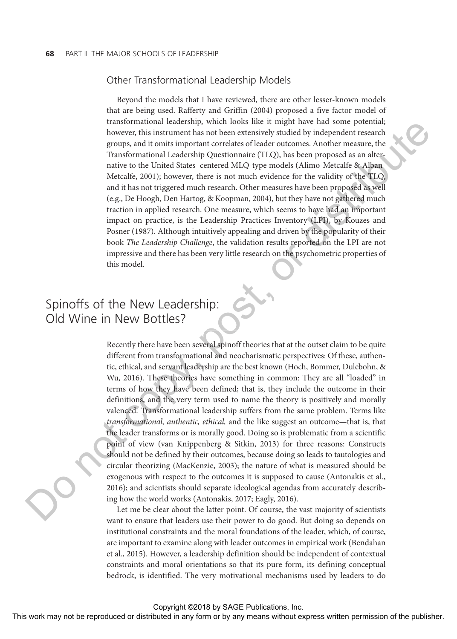### Other Transformational Leadership Models

Beyond the models that I have reviewed, there are other lesser-known models that are being used. Rafferty and Griffin (2004) proposed a five-factor model of transformational leadership, which looks like it might have had some potential; however, this instrument has not been extensively studied by independent research groups, and it omits important correlates of leader outcomes. Another measure, the Transformational Leadership Questionnaire (TLQ), has been proposed as an alternative to the United States–centered MLQ-type models (Alimo-Metcalfe & Alban-Metcalfe, 2001); however, there is not much evidence for the validity of the TLQ, and it has not triggered much research. Other measures have been proposed as well (e.g., De Hoogh, Den Hartog, & Koopman, 2004), but they have not gathered much traction in applied research. One measure, which seems to have had an important impact on practice, is the Leadership Practices Inventory (LPI), by Kouzes and Posner (1987). Although intuitively appealing and driven by the popularity of their book *The Leadership Challenge*, the validation results reported on the LPI are not impressive and there has been very little research on the psychometric properties of this model.

# Spinoffs of the New Leadership: Old Wine in New Bottles?

Recently there have been several spinoff theories that at the outset claim to be quite different from transformational and neocharismatic perspectives: Of these, authentic, ethical, and servant leadership are the best known (Hoch, Bommer, Dulebohn, & Wu, 2016). These theories have something in common: They are all "loaded" in terms of how they have been defined; that is, they include the outcome in their definitions, and the very term used to name the theory is positively and morally valenced. Transformational leadership suffers from the same problem. Terms like *transformational, authentic, ethical,* and the like suggest an outcome—that is, that the leader transforms or is morally good. Doing so is problematic from a scientific point of view (van Knippenberg & Sitkin, 2013) for three reasons: Constructs should not be defined by their outcomes, because doing so leads to tautologies and circular theorizing (MacKenzie, 2003); the nature of what is measured should be exogenous with respect to the outcomes it is supposed to cause (Antonakis et al., 2016); and scientists should separate ideological agendas from accurately describing how the world works (Antonakis, 2017; Eagly, 2016). The<br>shown may not be represented or distributed in any first expression or the representation<br>of the publisher or distributed in a able to the United States with the components are able to the United States with the publi

Let me be clear about the latter point. Of course, the vast majority of scientists want to ensure that leaders use their power to do good. But doing so depends on institutional constraints and the moral foundations of the leader, which, of course, are important to examine along with leader outcomes in empirical work (Bendahan et al., 2015). However, a leadership definition should be independent of contextual constraints and moral orientations so that its pure form, its defining conceptual bedrock, is identified. The very motivational mechanisms used by leaders to do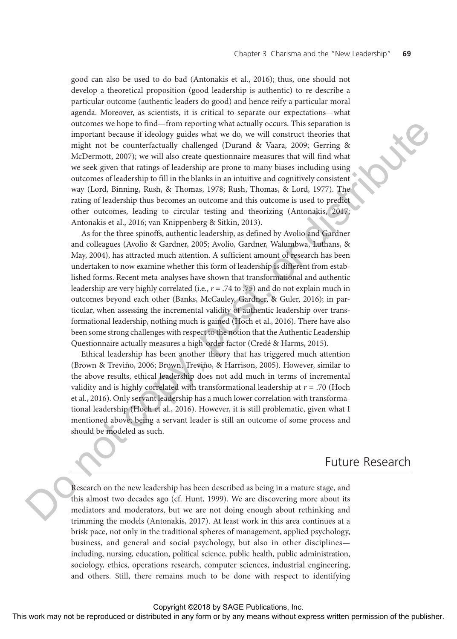good can also be used to do bad (Antonakis et al., 2016); thus, one should not develop a theoretical proposition (good leadership is authentic) to re-describe a particular outcome (authentic leaders do good) and hence reify a particular moral agenda. Moreover, as scientists, it is critical to separate our expectations—what outcomes we hope to find—from reporting what actually occurs. This separation is important because if ideology guides what we do, we will construct theories that might not be counterfactually challenged (Durand & Vaara, 2009; Gerring & McDermott, 2007); we will also create questionnaire measures that will find what we seek given that ratings of leadership are prone to many biases including using outcomes of leadership to fill in the blanks in an intuitive and cognitively consistent way (Lord, Binning, Rush, & Thomas, 1978; Rush, Thomas, & Lord, 1977). The rating of leadership thus becomes an outcome and this outcome is used to predict other outcomes, leading to circular testing and theorizing (Antonakis, 2017; Antonakis et al., 2016; van Knippenberg & Sitkin, 2013).

As for the three spinoffs, authentic leadership, as defined by Avolio and Gardner and colleagues (Avolio & Gardner, 2005; Avolio, Gardner, Walumbwa, Luthans, & May, 2004), has attracted much attention. A sufficient amount of research has been undertaken to now examine whether this form of leadership is different from established forms. Recent meta-analyses have shown that transformational and authentic leadership are very highly correlated (i.e., *r* = .74 to .75) and do not explain much in outcomes beyond each other (Banks, McCauley, Gardner, & Guler, 2016); in particular, when assessing the incremental validity of authentic leadership over transformational leadership, nothing much is gained (Hoch et al., 2016). There have also been some strong challenges with respect to the notion that the Authentic Leadership Questionnaire actually measures a high-order factor (Credé & Harms, 2015). The transmistive or distributed in any methods with a may be repressed to the reproduced or distributed in any form or by any means when the publisher or distributed in any means when the publisher or distributed in any m

Ethical leadership has been another theory that has triggered much attention (Brown & Treviño, 2006; Brown, Treviño, & Harrison, 2005). However, similar to the above results, ethical leadership does not add much in terms of incremental validity and is highly correlated with transformational leadership at *r* = .70 (Hoch et al., 2016). Only servant leadership has a much lower correlation with transformational leadership (Hoch et al., 2016). However, it is still problematic, given what I mentioned above; being a servant leader is still an outcome of some process and should be modeled as such.

# Future Research

Research on the new leadership has been described as being in a mature stage, and this almost two decades ago (cf. Hunt, 1999). We are discovering more about its mediators and moderators, but we are not doing enough about rethinking and trimming the models (Antonakis, 2017). At least work in this area continues at a brisk pace, not only in the traditional spheres of management, applied psychology, business, and general and social psychology, but also in other disciplines including, nursing, education, political science, public health, public administration, sociology, ethics, operations research, computer sciences, industrial engineering, and others. Still, there remains much to be done with respect to identifying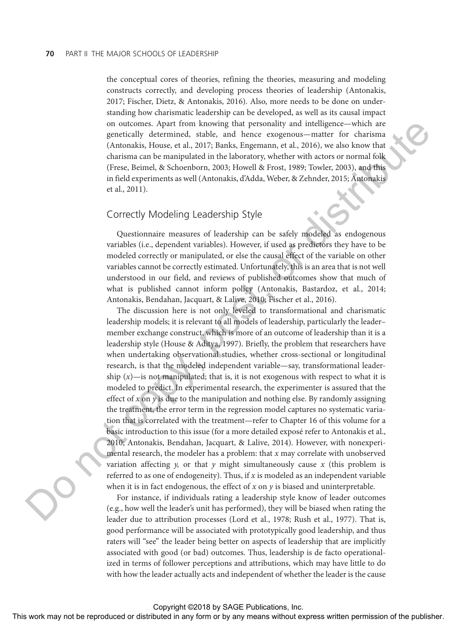the conceptual cores of theories, refining the theories, measuring and modeling constructs correctly, and developing process theories of leadership (Antonakis, 2017; Fischer, Dietz, & Antonakis, 2016). Also, more needs to be done on understanding how charismatic leadership can be developed, as well as its causal impact on outcomes. Apart from knowing that personality and intelligence—which are genetically determined, stable, and hence exogenous—matter for charisma (Antonakis, House, et al., 2017; Banks, Engemann, et al., 2016), we also know that charisma can be manipulated in the laboratory, whether with actors or normal folk (Frese, Beimel, & Schoenborn, 2003; Howell & Frost, 1989; Towler, 2003), and this in field experiments as well (Antonakis, d'Adda, Weber, & Zehnder, 2015; Antonakis et al., 2011).

## Correctly Modeling Leadership Style

Questionnaire measures of leadership can be safely modeled as endogenous variables (i.e., dependent variables). However, if used as predictors they have to be modeled correctly or manipulated, or else the causal effect of the variable on other variables cannot be correctly estimated. Unfortunately, this is an area that is not well understood in our field, and reviews of published outcomes show that much of what is published cannot inform policy (Antonakis, Bastardoz, et al., 2014; Antonakis, Bendahan, Jacquart, & Lalive, 2010; Fischer et al., 2016).

The discussion here is not only leveled to transformational and charismatic leadership models; it is relevant to all models of leadership, particularly the leader– member exchange construct, which is more of an outcome of leadership than it is a leadership style (House & Aditya, 1997). Briefly, the problem that researchers have when undertaking observational studies, whether cross-sectional or longitudinal research, is that the modeled independent variable—say, transformational leadership  $(x)$ —is not manipulated; that is, it is not exogenous with respect to what it is modeled to predict. In experimental research, the experimenter is assured that the effect of  $x$  on  $y$  is due to the manipulation and nothing else. By randomly assigning the treatment, the error term in the regression model captures no systematic variation that is correlated with the treatment—refer to Chapter 16 of this volume for a basic introduction to this issue (for a more detailed exposé refer to Antonakis et al., 2010; Antonakis, Bendahan, Jacquart, & Lalive, 2014). However, with nonexperimental research, the modeler has a problem: that *x* may correlate with unobserved variation affecting *y,* or that *y* might simultaneously cause *x* (this problem is referred to as one of endogeneity). Thus, if *x* is modeled as an independent variable when it is in fact endogenous, the effect of *x* on *y* is biased and uninterpretable. The matrix or the repression or the repression of the repression of the repression of the reproduced in any form or by any means with the repression of the results of the results of the results of the publisher. Also, we

For instance, if individuals rating a leadership style know of leader outcomes (e.g., how well the leader's unit has performed), they will be biased when rating the leader due to attribution processes (Lord et al., 1978; Rush et al., 1977). That is, good performance will be associated with prototypically good leadership, and thus raters will "see" the leader being better on aspects of leadership that are implicitly associated with good (or bad) outcomes. Thus, leadership is de facto operationalized in terms of follower perceptions and attributions, which may have little to do with how the leader actually acts and independent of whether the leader is the cause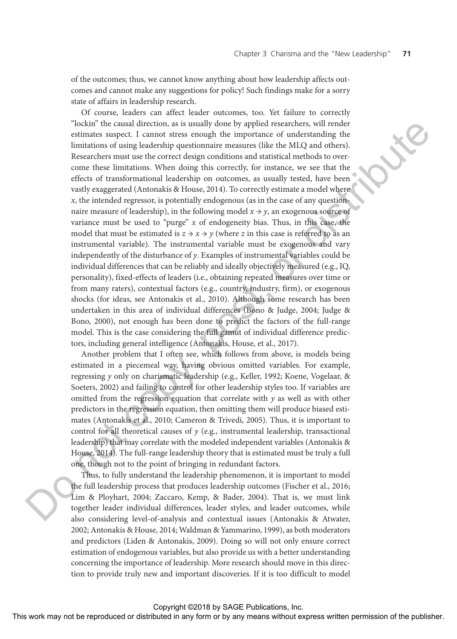of the outcomes; thus, we cannot know anything about how leadership affects outcomes and cannot make any suggestions for policy! Such findings make for a sorry state of affairs in leadership research.

Of course, leaders can affect leader outcomes, too. Yet failure to correctly "lockin" the causal direction, as is usually done by applied researchers, will render estimates suspect. I cannot stress enough the importance of understanding the limitations of using leadership questionnaire measures (like the MLQ and others). Researchers must use the correct design conditions and statistical methods to overcome these limitations. When doing this correctly, for instance, we see that the effects of transformational leadership on outcomes, as usually tested, have been vastly exaggerated (Antonakis & House, 2014). To correctly estimate a model where *x*, the intended regressor, is potentially endogenous (as in the case of any questionnaire measure of leadership), in the following model  $x \rightarrow y$ , an exogenous source of variance must be used to "purge" *x* of endogeneity bias. Thus, in this case, the model that must be estimated is  $z \rightarrow x \rightarrow y$  (where *z* in this case is referred to as an instrumental variable). The instrumental variable must be exogenous and vary independently of the disturbance of *y*. Examples of instrumental variables could be individual differences that can be reliably and ideally objectively measured (e.g., IQ, personality), fixed-effects of leaders (i.e., obtaining repeated measures over time or from many raters), contextual factors (e.g., country, industry, firm), or exogenous shocks (for ideas, see Antonakis et al., 2010). Although some research has been undertaken in this area of individual differences (Bono & Judge, 2004; Judge & Bono, 2000), not enough has been done to predict the factors of the full-range model. This is the case considering the full gamut of individual difference predictors, including general intelligence (Antonakis, House, et al., 2017). There is easier of the results of the results of the reproduced or distributed in any form of the reproduced or distributed in any form or by any means were computed in any form or between the repression of the results of

Another problem that I often see, which follows from above, is models being estimated in a piecemeal way, having obvious omitted variables. For example, regressing *y* only on charismatic leadership (e.g., Keller, 1992; Koene, Vogelaar, & Soeters, 2002) and failing to control for other leadership styles too. If variables are omitted from the regression equation that correlate with *y* as well as with other predictors in the regression equation, then omitting them will produce biased estimates (Antonakis et al., 2010; Cameron & Trivedi, 2005). Thus, it is important to control for all theoretical causes of *y* (e.g., instrumental leadership, transactional leadership) that may correlate with the modeled independent variables (Antonakis & House, 2014). The full-range leadership theory that is estimated must be truly a full one, though not to the point of bringing in redundant factors.

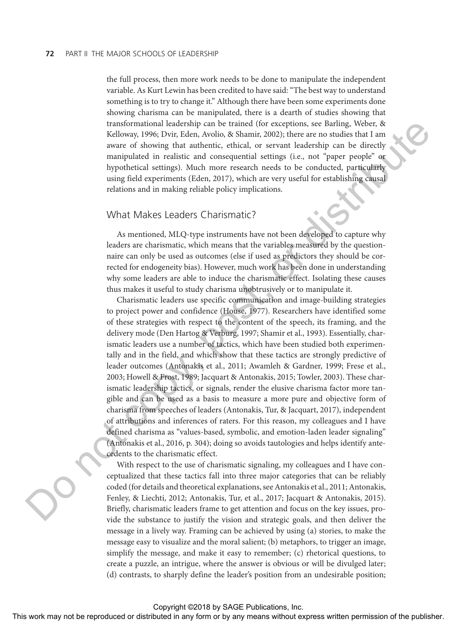the full process, then more work needs to be done to manipulate the independent variable. As Kurt Lewin has been credited to have said: "The best way to understand something is to try to change it." Although there have been some experiments done showing charisma can be manipulated, there is a dearth of studies showing that transformational leadership can be trained (for exceptions, see Barling, Weber, & Kelloway, 1996; Dvir, Eden, Avolio, & Shamir, 2002); there are no studies that I am aware of showing that authentic, ethical, or servant leadership can be directly manipulated in realistic and consequential settings (i.e., not "paper people" or hypothetical settings). Much more research needs to be conducted, particularly using field experiments (Eden, 2017), which are very useful for establishing causal relations and in making reliable policy implications.

### What Makes Leaders Charismatic?

As mentioned, MLQ-type instruments have not been developed to capture why leaders are charismatic, which means that the variables measured by the questionnaire can only be used as outcomes (else if used as predictors they should be corrected for endogeneity bias). However, much work has been done in understanding why some leaders are able to induce the charismatic effect. Isolating these causes thus makes it useful to study charisma unobtrusively or to manipulate it.

Charismatic leaders use specific communication and image-building strategies to project power and confidence (House, 1977). Researchers have identified some of these strategies with respect to the content of the speech, its framing, and the delivery mode (Den Hartog & Verburg, 1997; Shamir et al., 1993). Essentially, charismatic leaders use a number of tactics, which have been studied both experimentally and in the field, and which show that these tactics are strongly predictive of leader outcomes (Antonakis et al., 2011; Awamleh & Gardner, 1999; Frese et al., 2003; Howell & Frost, 1989; Jacquart & Antonakis, 2015; Towler, 2003). These charismatic leadership tactics, or signals, render the elusive charisma factor more tangible and can be used as a basis to measure a more pure and objective form of charisma from speeches of leaders (Antonakis, Tur, & Jacquart, 2017), independent of attributions and inferences of raters. For this reason, my colleagues and I have defined charisma as "values-based, symbolic, and emotion-laden leader signaling" (Antonakis et al., 2016, p. 304); doing so avoids tautologies and helps identify antecedents to the charismatic effect. The interaction of the controlled or distributed or distributed in any means with the publisher. The reproduced or distributed in any means with the publisher of the publishers with the publishers with the publishers with

With respect to the use of charismatic signaling, my colleagues and I have conceptualized that these tactics fall into three major categories that can be reliably coded (for details and theoretical explanations, see Antonakis et al., 2011; Antonakis, Fenley, & Liechti, 2012; Antonakis, Tur, et al., 2017; Jacquart & Antonakis, 2015). Briefly, charismatic leaders frame to get attention and focus on the key issues, provide the substance to justify the vision and strategic goals, and then deliver the message in a lively way. Framing can be achieved by using (a) stories, to make the message easy to visualize and the moral salient; (b) metaphors, to trigger an image, simplify the message, and make it easy to remember; (c) rhetorical questions, to create a puzzle, an intrigue, where the answer is obvious or will be divulged later; (d) contrasts, to sharply define the leader's position from an undesirable position;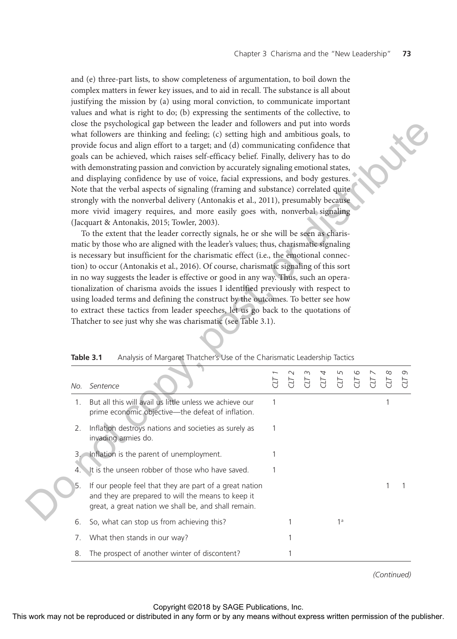and (e) three-part lists, to show completeness of argumentation, to boil down the complex matters in fewer key issues, and to aid in recall. The substance is all about justifying the mission by (a) using moral conviction, to communicate important values and what is right to do; (b) expressing the sentiments of the collective, to close the psychological gap between the leader and followers and put into words what followers are thinking and feeling; (c) setting high and ambitious goals, to provide focus and align effort to a target; and (d) communicating confidence that goals can be achieved, which raises self-efficacy belief. Finally, delivery has to do with demonstrating passion and conviction by accurately signaling emotional states, and displaying confidence by use of voice, facial expressions, and body gestures. Note that the verbal aspects of signaling (framing and substance) correlated quite strongly with the nonverbal delivery (Antonakis et al., 2011), presumably because more vivid imagery requires, and more easily goes with, nonverbal signaling (Jacquart & Antonakis, 2015; Towler, 2003).

|    |                     | tion) to occur (Antonakis et al., 2016). Of course, charismatic signaling of this sort<br>in no way suggests the leader is effective or good in any way. Thus, such an opera-<br>tionalization of charisma avoids the issues I identified previously with respect to<br>using loaded terms and defining the construct by the outcomes. To better see how<br>to extract these tactics from leader speeches, let us go back to the quotations of<br>Thatcher to see just why she was charismatic (see Table 3.1). | matic by those who are aligned with the leader's values; thus, charismatic signaling<br>is necessary but insufficient for the charismatic effect (i.e., the emotional connec- |            |     |            |     | To the extent that the leader correctly signals, he or she will be seen as charis- |     |                |     |     |
|----|---------------------|-----------------------------------------------------------------------------------------------------------------------------------------------------------------------------------------------------------------------------------------------------------------------------------------------------------------------------------------------------------------------------------------------------------------------------------------------------------------------------------------------------------------|-------------------------------------------------------------------------------------------------------------------------------------------------------------------------------|------------|-----|------------|-----|------------------------------------------------------------------------------------|-----|----------------|-----|-----|
|    | Table 3.1           | Analysis of Margaret Thatcher's Use of the Charismatic Leadership Tactics                                                                                                                                                                                                                                                                                                                                                                                                                                       |                                                                                                                                                                               |            |     |            |     |                                                                                    |     |                |     |     |
|    | No. Sentence        |                                                                                                                                                                                                                                                                                                                                                                                                                                                                                                                 |                                                                                                                                                                               | <b>CLT</b> | CIT | <b>CLT</b> | CIT | CLT                                                                                | CIT | $\overline{C}$ | CLT | CLT |
|    |                     |                                                                                                                                                                                                                                                                                                                                                                                                                                                                                                                 |                                                                                                                                                                               |            |     |            |     |                                                                                    |     |                |     |     |
| 1. |                     | But all this will avail us little unless we achieve our<br>prime economic objective-the defeat of inflation.                                                                                                                                                                                                                                                                                                                                                                                                    |                                                                                                                                                                               | 1          |     |            |     |                                                                                    |     |                | 1   |     |
| 2. | invading armies do. | Inflation destroys nations and societies as surely as                                                                                                                                                                                                                                                                                                                                                                                                                                                           |                                                                                                                                                                               | 1          |     |            |     |                                                                                    |     |                |     |     |
|    |                     | 3. Inflation is the parent of unemployment.                                                                                                                                                                                                                                                                                                                                                                                                                                                                     |                                                                                                                                                                               | 1          |     |            |     |                                                                                    |     |                |     |     |
| 4. |                     | It is the unseen robber of those who have saved.                                                                                                                                                                                                                                                                                                                                                                                                                                                                |                                                                                                                                                                               | 1          |     |            |     |                                                                                    |     |                |     |     |
| 5. |                     | If our people feel that they are part of a great nation<br>and they are prepared to will the means to keep it<br>great, a great nation we shall be, and shall remain.                                                                                                                                                                                                                                                                                                                                           |                                                                                                                                                                               |            |     |            |     |                                                                                    |     |                | 1   |     |
| 6. |                     | So, what can stop us from achieving this?                                                                                                                                                                                                                                                                                                                                                                                                                                                                       |                                                                                                                                                                               |            | 1   |            |     | 1 <sup>a</sup>                                                                     |     |                |     |     |
| 7. |                     | What then stands in our way?                                                                                                                                                                                                                                                                                                                                                                                                                                                                                    |                                                                                                                                                                               |            |     |            |     |                                                                                    |     |                |     | 1   |

| Table 3.1 |  |  | Analysis of Margaret Thatcher's Use of the Charismatic Leadership Tactics |
|-----------|--|--|---------------------------------------------------------------------------|
|-----------|--|--|---------------------------------------------------------------------------|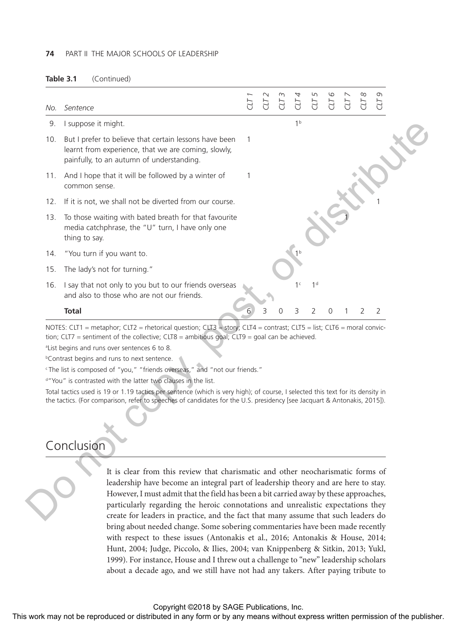### **74** PART II THE MAJOR SCHOOLS OF LEADERSHIP

### **Table 3.1** (Continued)

|     | No. Sentence                                                                                                                                                                                                                                                                                                                                                                                                                                                                                                      |   |   |   |                | 15             | IJ | F |   | H |  |
|-----|-------------------------------------------------------------------------------------------------------------------------------------------------------------------------------------------------------------------------------------------------------------------------------------------------------------------------------------------------------------------------------------------------------------------------------------------------------------------------------------------------------------------|---|---|---|----------------|----------------|----|---|---|---|--|
| 9.  | I suppose it might.                                                                                                                                                                                                                                                                                                                                                                                                                                                                                               |   |   |   | 1 <sup>b</sup> |                |    |   |   |   |  |
| 10. | But I prefer to believe that certain lessons have been<br>learnt from experience, that we are coming, slowly,<br>painfully, to an autumn of understanding.                                                                                                                                                                                                                                                                                                                                                        | 1 |   |   |                |                |    |   |   |   |  |
| 11. | And I hope that it will be followed by a winter of<br>common sense.                                                                                                                                                                                                                                                                                                                                                                                                                                               | 1 |   |   |                |                |    |   |   |   |  |
| 12. | If it is not, we shall not be diverted from our course.                                                                                                                                                                                                                                                                                                                                                                                                                                                           |   |   |   |                |                |    |   |   |   |  |
| 13. | To those waiting with bated breath for that favourite<br>media catchphrase, the "U" turn, I have only one<br>thing to say.                                                                                                                                                                                                                                                                                                                                                                                        |   |   |   |                |                |    |   |   |   |  |
| 14. | "You turn if you want to.                                                                                                                                                                                                                                                                                                                                                                                                                                                                                         |   |   |   |                |                |    |   |   |   |  |
| 15. | The lady's not for turning."                                                                                                                                                                                                                                                                                                                                                                                                                                                                                      |   |   |   |                |                |    |   |   |   |  |
| 16. |                                                                                                                                                                                                                                                                                                                                                                                                                                                                                                                   |   |   |   | 1 <sup>c</sup> | 1 <sup>d</sup> |    |   |   |   |  |
|     | I say that not only to you but to our friends overseas<br>and also to those who are not our friends.                                                                                                                                                                                                                                                                                                                                                                                                              |   |   |   |                |                |    |   |   |   |  |
|     | <b>Total</b><br>NOTES: CLT1 = metaphor; CLT2 = rhetorical question; CLT3 = story; CLT4 = contrast; CLT5 = list; CLT6 = moral convic-<br>tion; $CLT7$ = sentiment of the collective; $CLT8$ = ambitious goal; $CLT9$ = goal can be achieved.<br><sup>a</sup> List begins and runs over sentences 6 to 8.<br><sup>b</sup> Contrast begins and runs to next sentence.<br>"The list is composed of "you," "friends overseas," and "not our friends."<br>d"You" is contrasted with the latter two clauses in the list. | 6 | 3 | 0 | 3              | 2              | 0  |   | 2 | 2 |  |
|     | Total tactics used is 19 or 1.19 tactics per sentence (which is very high); of course, I selected this text for its density in<br>the tactics. (For comparison, refer to speeches of candidates for the U.S. presidency [see Jacquart & Antonakis, 2015]).                                                                                                                                                                                                                                                        |   |   |   |                |                |    |   |   |   |  |
|     | Conclusion                                                                                                                                                                                                                                                                                                                                                                                                                                                                                                        |   |   |   |                |                |    |   |   |   |  |

# Conclusion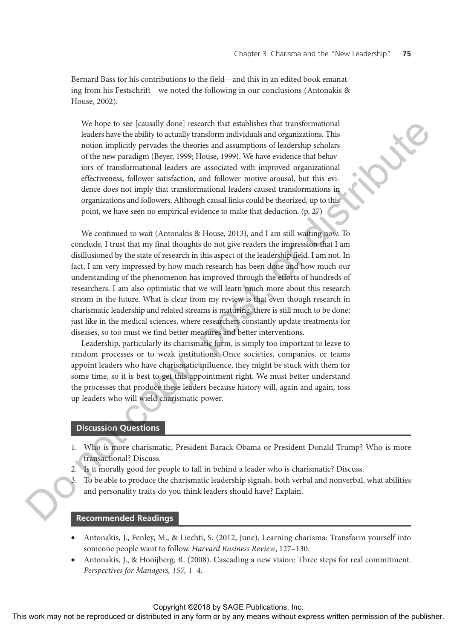Bernard Bass for his contributions to the field—and this in an edited book emanating from his Festschrift—we noted the following in our conclusions (Antonakis & House, 2002):

We hope to see [causally done] research that establishes that transformational leaders have the ability to actually transform individuals and organizations. This notion implicitly pervades the theories and assumptions of leadership scholars of the new paradigm (Beyer, 1999; House, 1999). We have evidence that behaviors of transformational leaders are associated with improved organizational effectiveness, follower satisfaction, and follower motive arousal, but this evidence does not imply that transformational leaders caused transformations in organizations and followers. Although causal links could be theorized, up to this point, we have seen no empirical evidence to make that deduction. (p. 27)

We continued to wait (Antonakis & House, 2013), and I am still waiting now. To conclude, I trust that my final thoughts do not give readers the impression that I am disillusioned by the state of research in this aspect of the leadership field. I am not. In fact, I am very impressed by how much research has been done and how much our understanding of the phenomenon has improved through the efforts of hundreds of researchers. I am also optimistic that we will learn much more about this research stream in the future. What is clear from my review is that even though research in charismatic leadership and related streams is maturing, there is still much to be done; just like in the medical sciences, where researchers constantly update treatments for diseases, so too must we find better measures and better interventions. We been the results when the results of the results of the results of the results of the results of the results of the results of the results of the results of the results of the results of the results of the results of t

Leadership, particularly its charismatic form, is simply too important to leave to random processes or to weak institutions. Once societies, companies, or teams appoint leaders who have charismatic influence, they might be stuck with them for some time, so it is best to get this appointment right. We must better understand the processes that produce these leaders because history will, again and again, toss up leaders who will wield charismatic power.

#### **Discussion Questions**

- 1. Who is more charismatic, President Barack Obama or President Donald Trump? Who is more transactional? Discuss.
- 2. Is it morally good for people to fall in behind a leader who is charismatic? Discuss.
- 3. To be able to produce the charismatic leadership signals, both verbal and nonverbal, what abilities and personality traits do you think leaders should have? Explain.

#### **Recommended Readings**

- Antonakis, J., Fenley, M., & Liechti, S. (2012, June). Learning charisma: Transform yourself into someone people want to follow. *Harvard Business Review*, 127–130.
- Antonakis, J., & Hooijberg, R. (2008). Cascading a new vision: Three steps for real commitment. *Perspectives for Managers, 157,* 1–4.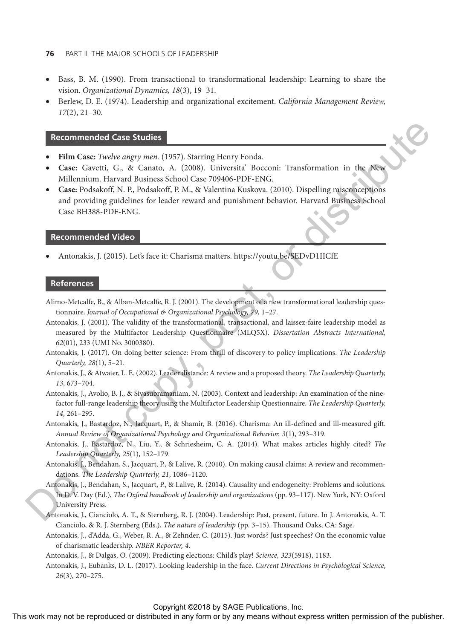#### **76** PART II THE MAJOR SCHOOLS OF LEADERSHIP

- Bass, B. M. (1990). From transactional to transformational leadership: Learning to share the vision. *Organizational Dynamics, 18*(3), 19–31.
- Berlew, D. E. (1974). Leadership and organizational excitement. *California Management Review, 17*(2), 21–30.

### **Recommended Case Studies**

- **Film Case:** *Twelve angry men.* (1957). Starring Henry Fonda.
- **Case:** Gavetti, G., & Canato, A. (2008). Universita' Bocconi: Transformation in the New Millennium. Harvard Business School Case 709406-PDF-ENG.
- **Case:** Podsakoff, N. P., Podsakoff, P. M., & Valentina Kuskova. (2010). Dispelling misconceptions and providing guidelines for leader reward and punishment behavior. Harvard Business School Case BH388-PDF-ENG. The commented Case Studies<br>
• This case is easily be represented in any form of the represented in any form or by any means with the represented in any form or by any means with the reproduced or distributed in any form o

### **Recommended Video**

• Antonakis, J. (2015). Let's face it: Charisma matters. https://youtu.be/SEDvD1IICfE

### **References**

- Alimo-Metcalfe, B., & Alban-Metcalfe, R. J. (2001). The development of a new transformational leadership questionnaire. *Journal of Occupational & Organizational Psychology, 79*, 1–27.
- Antonakis, J. (2001). The validity of the transformational, transactional, and laissez-faire leadership model as measured by the Multifactor Leadership Questionnaire (MLQ5X). *Dissertation Abstracts International, 62*(01), 233 (UMI No. 3000380).
- Antonakis, J. (2017). On doing better science: From thrill of discovery to policy implications. *The Leadership Quarterly, 28*(1), 5–21.
- Antonakis, J., & Atwater, L. E. (2002). Leader distance: A review and a proposed theory. *The Leadership Quarterly, 13*, 673–704.
- Antonakis, J., Avolio, B. J., & Sivasubramaniam, N. (2003). Context and leadership: An examination of the ninefactor full-range leadership theory using the Multifactor Leadership Questionnaire. *The Leadership Quarterly, 14*, 261–295.
- Antonakis, J., Bastardoz, N., Jacquart, P., & Shamir, B. (2016). Charisma: An ill-defined and ill-measured gift. *Annual Review of Organizational Psychology and Organizational Behavior, 3*(1), 293–319.
- Antonakis, J., Bastardoz, N., Liu, Y., & Schriesheim, C. A. (2014). What makes articles highly cited? *The Leadership Quarterly, 25*(1), 152–179.
- Antonakis, J., Bendahan, S., Jacquart, P., & Lalive, R. (2010). On making causal claims: A review and recommendations. *The Leadership Quarterly, 21*, 1086–1120.
- Antonakis, J., Bendahan, S., Jacquart, P., & Lalive, R. (2014). Causality and endogeneity: Problems and solutions. In D. V. Day (Ed.), *The Oxford handbook of leadership and organizations* (pp. 93–117). New York, NY: Oxford University Press.
- Antonakis, J., Cianciolo, A. T., & Sternberg, R. J. (2004). Leadership: Past, present, future. In J. Antonakis, A. T. Cianciolo, & R. J. Sternberg (Eds.), *The nature of leadership* (pp. 3–15). Thousand Oaks, CA: Sage.
- Antonakis, J., d'Adda, G., Weber, R. A., & Zehnder, C. (2015). Just words? Just speeches? On the economic value of charismatic leadership. *NBER Reporter, 4*.

Antonakis, J., & Dalgas, O. (2009). Predicting elections: Child's play! *Science, 323*(5918), 1183.

Antonakis, J., Eubanks, D. L. (2017). Looking leadership in the face. *Current Directions in Psychological Science*, *26*(3), 270–275.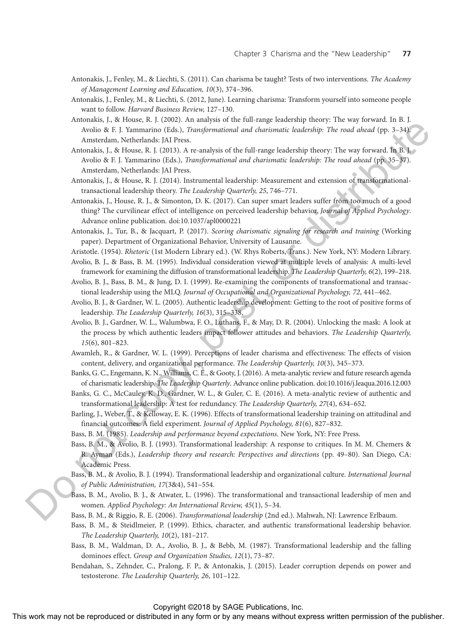- Antonakis, J., Fenley, M., & Liechti, S. (2011). Can charisma be taught? Tests of two interventions. *The Academy of Management Learning and Education, 10*(3), 374–396.
- Antonakis, J., Fenley, M., & Liechti, S. (2012, June). Learning charisma: Transform yourself into someone people want to follow. *Harvard Business Review,* 127–130.
- Antonakis, J., & House, R. J. (2002). An analysis of the full-range leadership theory: The way forward. In B. J. Avolio & F. J. Yammarino (Eds.), *Transformational and charismatic leadership: The road ahead* (pp. 3–34). Amsterdam, Netherlands: JAI Press.
- Antonakis, J., & House, R. J. (2013). A re-analysis of the full-range leadership theory: The way forward. In B. J. Avolio & F. J. Yammarino (Eds.), *Transformational and charismatic leadership: The road ahead* (pp. 35–37). Amsterdam, Netherlands: JAI Press.
- Antonakis, J., & House, R. J. (2014). Instrumental leadership: Measurement and extension of transformationaltransactional leadership theory. *The Leadership Quarterly, 25*, 746–771.
- Antonakis, J., House, R. J., & Simonton, D. K. (2017). Can super smart leaders suffer from too much of a good thing? The curvilinear effect of intelligence on perceived leadership behavior. *Journal of Applied Psychology*. Advance online publication. doi:10.1037/apl0000221

Antonakis, J., Tur, B., & Jacquart, P. (2017). *Scoring charismatic signaling for research and training* (Working paper). Department of Organizational Behavior, University of Lausanne.

- Aristotle. (1954). *Rhetoric* (1st Modern Library ed.). (W. Rhys Roberts, Trans.). New York, NY: Modern Library.
- Avolio, B. J., & Bass, B. M. (1995). Individual consideration viewed at multiple levels of analysis: A multi-level framework for examining the diffusion of transformational leadership. *The Leadership Quarterly, 6*(2), 199–218.
- Avolio, B. J., Bass, B. M., & Jung, D. I. (1999). Re-examining the components of transformational and transactional leadership using the MLQ. *Journal of Occupational and Organizational Psychology, 72*, 441–462.
- Avolio, B. J., & Gardner, W. L. (2005). Authentic leadership development: Getting to the root of positive forms of leadership. *The Leadership Quarterly, 16*(3), 315–338.
- Avolio, B. J., Gardner, W. L., Walumbwa, F. O., Luthans, F., & May, D. R. (2004). Unlocking the mask: A look at the process by which authentic leaders impact follower attitudes and behaviors. *The Leadership Quarterly, 15*(6), 801–823.
- Awamleh, R., & Gardner, W. L. (1999). Perceptions of leader charisma and effectiveness: The effects of vision content, delivery, and organizational performance. *The Leadership Quarterly, 10*(3), 345–373.
- Banks, G. C., Engemann, K. N., Williams, C. E., & Gooty, J. (2016). A meta-analytic review and future research agenda of charismatic leadership. *The Leadership Quarterly*. Advance online publication. doi:10.1016/j.leaqua.2016.12.003
- Banks, G. C., McCauley, K. D., Gardner, W. L., & Guler, C. E. (2016). A meta-analytic review of authentic and transformational leadership: A test for redundancy. *The Leadership Quarterly, 27*(4), 634–652.
- Barling, J., Weber, T., & Kelloway, E. K. (1996). Effects of transformational leadership training on attitudinal and financial outcomes: A field experiment. *Journal of Applied Psychology, 81*(6), 827–832.
- Bass, B. M. (1985). *Leadership and performance beyond expectations*. New York, NY: Free Press.
- Bass, B. M., & Avolio, B. J. (1993). Transformational leadership: A response to critiques. In M. M. Chemers & R. Ayman (Eds.), *Leadership theory and research: Perspectives and directions* (pp. 49–80). San Diego, CA: Academic Press. Notice 1: University in a statistical content in any collective permission or by any means with the results without the results without the results without the results with the results with the results with the results wi
	- Bass, B. M., & Avolio, B. J. (1994). Transformational leadership and organizational culture. *International Journal of Public Administration, 17*(3&4), 541–554.
	- Bass, B. M., Avolio, B. J., & Atwater, L. (1996). The transformational and transactional leadership of men and women. *Applied Psychology: An International Review, 45*(1), 5–34.
	- Bass, B. M., & Riggio, R. E. (2006). *Transformational leadership* (2nd ed.). Mahwah, NJ: Lawrence Erlbaum.
	- Bass, B. M., & Steidlmeier, P. (1999). Ethics, character, and authentic transformational leadership behavior. *The Leadership Quarterly, 10*(2), 181–217.
	- Bass, B. M., Waldman, D. A., Avolio, B. J., & Bebb, M. (1987). Transformational leadership and the falling dominoes effect. *Group and Organization Studies, 12*(1), 73–87.
	- Bendahan, S., Zehnder, C., Pralong, F. P., & Antonakis, J. (2015). Leader corruption depends on power and testosterone. *The Leadership Quarterly, 26*, 101–122.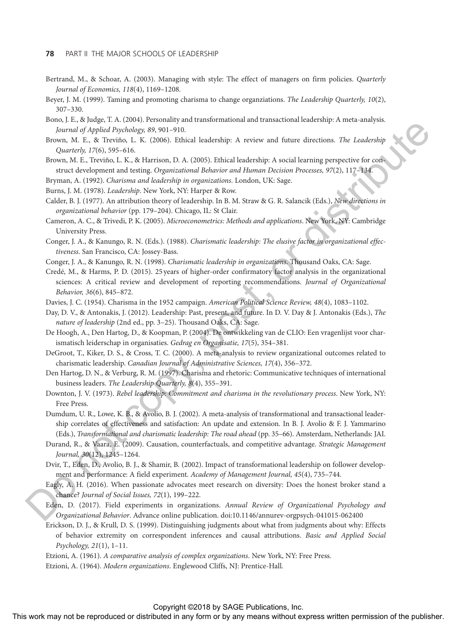- Bertrand, M., & Schoar, A. (2003). Managing with style: The effect of managers on firm policies. *Quarterly Journal of Economics, 118*(4), 1169–1208.
- Beyer, J. M. (1999). Taming and promoting charisma to change organziations. *The Leadership Quarterly, 10*(2), 307–330.
- Bono, J. E., & Judge, T. A. (2004). Personality and transformational and transactional leadership: A meta-analysis. *Journal of Applied Psychology, 89*, 901–910.
- Brown, M. E., & Treviño, L. K. (2006). Ethical leadership: A review and future directions. *The Leadership Quarterly, 17*(6), 595–616.
- Brown, M. E., Treviño, L. K., & Harrison, D. A. (2005). Ethical leadership: A social learning perspective for construct development and testing. *Organizational Behavior and Human Decision Processes, 97*(2), 117–134.
- Bryman, A. (1992). *Charisma and leadership in organizations*. London, UK: Sage.
- Burns, J. M. (1978). *Leadership*. New York, NY: Harper & Row.
- Calder, B. J. (1977). An attribution theory of leadership. In B. M. Straw & G. R. Salancik (Eds.), *New directions in organizational behavior* (pp. 179–204). Chicago, IL: St Clair.
- Cameron, A. C., & Trivedi, P. K. (2005). *Microeconometrics: Methods and applications*. New York, NY: Cambridge University Press.
- Conger, J. A., & Kanungo, R. N. (Eds.). (1988). *Charismatic leadership: The elusive factor in organizational effectiveness*. San Francisco, CA: Jossey-Bass.
- Conger, J. A., & Kanungo, R. N. (1998). *Charismatic leadership in organizations*. Thousand Oaks, CA: Sage.
- Credé, M., & Harms, P. D. (2015). 25 years of higher-order confirmatory factor analysis in the organizational sciences: A critical review and development of reporting recommendations. *Journal of Organizational Behavior, 36*(6), 845–872. From the repression of the repression of the representation of the representation of the reproduced or distributed in any means with  $\pi$  any means with  $\pi$  any  $\pi$  and  $\pi$  and  $\pi$  any  $\pi$  and  $\pi$  any  $\pi$  be repres
	- Davies, J. C. (1954). Charisma in the 1952 campaign. *American Political Science Review, 48*(4), 1083–1102.
	- Day, D. V., & Antonakis, J. (2012). Leadership: Past, present, and future. In D. V. Day & J. Antonakis (Eds.), *The nature of leadership* (2nd ed., pp. 3–25). Thousand Oaks, CA: Sage.
	- De Hoogh, A., Den Hartog, D., & Koopman, P. (2004). De ontwikkeling van de CLIO: Een vragenlijst voor charismatisch leiderschap in organisaties. *Gedrag en Organisatie, 17*(5), 354–381.
	- DeGroot, T., Kiker, D. S., & Cross, T. C. (2000). A meta-analysis to review organizational outcomes related to charismatic leadership. *Canadian Journal of Administrative Sciences, 17*(4), 356–372.
	- Den Hartog, D. N., & Verburg, R. M. (1997). Charisma and rhetoric: Communicative techniques of international business leaders. *The Leadership Quarterly, 8*(4), 355–391.
	- Downton, J. V. (1973). *Rebel leadership: Commitment and charisma in the revolutionary process*. New York, NY: Free Press.
	- Dumdum, U. R., Lowe, K. B., & Avolio, B. J. (2002). A meta-analysis of transformational and transactional leadership correlates of effectiveness and satisfaction: An update and extension. In B. J. Avolio & F. J. Yammarino (Eds.), *Transformational and charismatic leadership: The road ahead* (pp. 35–66). Amsterdam, Netherlands: JAI.
	- Durand, R., & Vaara, E. (2009). Causation, counterfactuals, and competitive advantage. *Strategic Management Journal, 30*(12), 1245–1264.
	- Dvir, T., Eden, D., Avolio, B. J., & Shamir, B. (2002). Impact of transformational leadership on follower development and performance: A field experiment. *Academy of Management Journal, 45*(4), 735–744.
	- Eagly, A. H. (2016). When passionate advocates meet research on diversity: Does the honest broker stand a chance? *Journal of Social Issues, 72*(1), 199–222.
	- Eden, D. (2017). Field experiments in organizations. *Annual Review of Organizational Psychology and Organizational Behavior*. Advance online publication. doi:10.1146/annurev-orgpsych-041015-062400
	- Erickson, D. J., & Krull, D. S. (1999). Distinguishing judgments about what from judgments about why: Effects of behavior extremity on correspondent inferences and causal attributions. *Basic and Applied Social Psychology, 21*(1), 1–11.
	- Etzioni, A. (1961). *A comparative analysis of complex organizations*. New York, NY: Free Press.

Etzioni, A. (1964). *Modern organizations*. Englewood Cliffs, NJ: Prentice-Hall.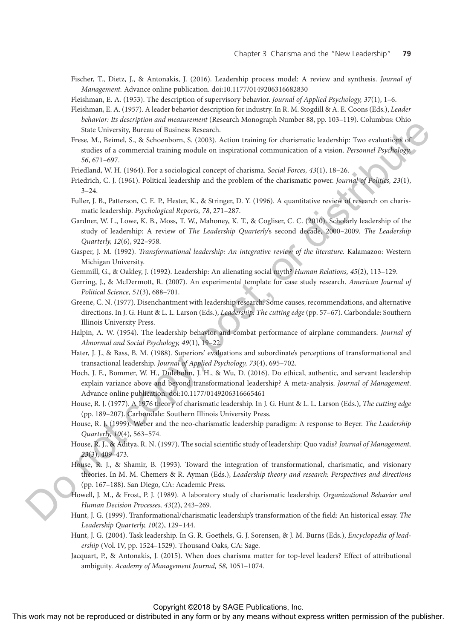Fischer, T., Dietz, J., & Antonakis, J. (2016). Leadership process model: A review and synthesis. *Journal of Management.* Advance online publication. doi:10.1177/0149206316682830

Fleishman, E. A. (1953). The description of supervisory behavior. *Journal of Applied Psychology, 37*(1), 1–6.

- Fleishman, E. A. (1957). A leader behavior description for industry. In R. M. Stogdill & A. E. Coons (Eds.), *Leader behavior: Its description and measurement* (Research Monograph Number 88, pp. 103–119). Columbus: Ohio State University, Bureau of Business Research.
- Frese, M., Beimel, S., & Schoenborn, S. (2003). Action training for charismatic leadership: Two evaluations of studies of a commercial training module on inspirational communication of a vision. *Personnel Psychology, 56*, 671–697. State thermal material is the reproduced or distributed in any form of the reproduced or distributed or distributed in any means with  $\pi$  any means with  $\pi$  and  $\pi$  any  $\pi$  any form or by any  $\pi$  any form or by any
	- Friedland, W. H. (1964). For a sociological concept of charisma. *Social Forces, 43*(1), 18–26.
	- Friedrich, C. J. (1961). Political leadership and the problem of the charismatic power. *Journal of Politics, 23*(1), 3–24.
	- Fuller, J. B., Patterson, C. E. P., Hester, K., & Stringer, D. Y. (1996). A quantitative review of research on charismatic leadership. *Psychological Reports, 78*, 271–287.
	- Gardner, W. L., Lowe, K. B., Moss, T. W., Mahoney, K. T., & Cogliser, C. C. (2010). Scholarly leadership of the study of leadership: A review of *The Leadership Quarterly*'s second decade, 2000–2009. *The Leadership Quarterly, 12*(6), 922–958.
	- Gasper, J. M. (1992). *Transformational leadership: An integrative review of the literature.* Kalamazoo: Western Michigan University.
	- Gemmill, G., & Oakley, J. (1992). Leadership: An alienating social myth? *Human Relations, 45*(2), 113–129.
	- Gerring, J., & McDermott, R. (2007). An experimental template for case study research. *American Journal of Political Science, 51*(3), 688–701.
	- Greene, C. N. (1977). Disenchantment with leadership research: Some causes, recommendations, and alternative directions. In J. G. Hunt & L. L. Larson (Eds.), *Leadership: The cutting edge* (pp. 57–67). Carbondale: Southern Illinois University Press.
	- Halpin, A. W. (1954). The leadership behavior and combat performance of airplane commanders. *Journal of Abnormal and Social Psychology, 49*(1), 19–22.
	- Hater, J. J., & Bass, B. M. (1988). Superiors' evaluations and subordinate's perceptions of transformational and transactional leadership. *Journal of Applied Psychology, 73*(4), 695–702.
	- Hoch, J. E., Bommer, W. H., Dulebohn, J. H., & Wu, D. (2016). Do ethical, authentic, and servant leadership explain variance above and beyond transformational leadership? A meta-analysis. *Journal of Management*. Advance online publication. doi:10.1177/0149206316665461

House, R. J. (1977). A 1976 theory of charismatic leadership. In J. G. Hunt & L. L. Larson (Eds.), *The cutting edge* (pp. 189–207). Carbondale: Southern Illinois University Press.

- House, R. J. (1999). Weber and the neo-charismatic leadership paradigm: A response to Beyer. *The Leadership Quarterly, 10*(4), 563–574.
- House, R. J., & Aditya, R. N. (1997). The social scientific study of leadership: Quo vadis? *Journal of Management, 23*(3), 409–473.
- House, R. J., & Shamir, B. (1993). Toward the integration of transformational, charismatic, and visionary theories. In M. M. Chemers & R. Ayman (Eds.), *Leadership theory and research: Perspectives and directions*  (pp. 167–188). San Diego, CA: Academic Press.
- Howell, J. M., & Frost, P. J. (1989). A laboratory study of charismatic leadership. *Organizational Behavior and Human Decision Processes, 43*(2), 243–269.
- Hunt, J. G. (1999). Tranformational/charismatic leadership's transformation of the field: An historical essay. *The Leadership Quarterly, 10*(2), 129–144.
- Hunt, J. G. (2004). Task leadership. In G. R. Goethels, G. J. Sorensen, & J. M. Burns (Eds.), *Encyclopedia of leadership* (Vol. IV, pp. 1524–1529). Thousand Oaks, CA: Sage.
- Jacquart, P., & Antonakis, J. (2015). When does charisma matter for top-level leaders? Effect of attributional ambiguity. *Academy of Management Journal, 58*, 1051–1074.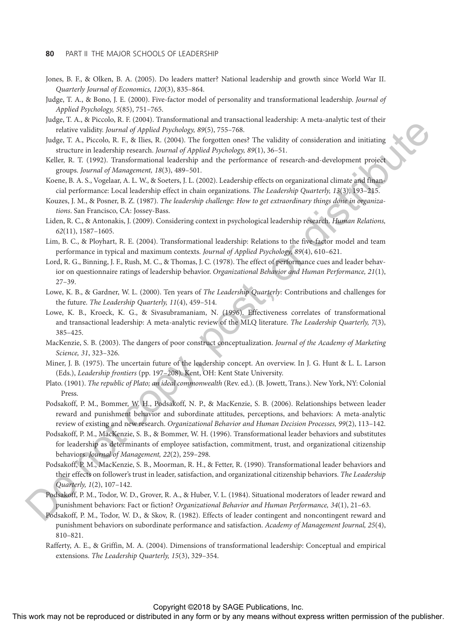- Jones, B. F., & Olken, B. A. (2005). Do leaders matter? National leadership and growth since World War II. *Quarterly Journal of Economics, 120*(3), 835–864.
- Judge, T. A., & Bono, J. E. (2000). Five-factor model of personality and transformational leadership. *Journal of Applied Psychology, 5*(85), 751–765.
- Judge, T. A., & Piccolo, R. F. (2004). Transformational and transactional leadership: A meta-analytic test of their relative validity. *Journal of Applied Psychology, 89*(5), 755–768.
- Judge, T. A., Piccolo, R. F., & Ilies, R. (2004). The forgotten ones? The validity of consideration and initiating structure in leadership research. *Journal of Applied Psychology, 89*(1), 36–51.
- Keller, R. T. (1992). Transformational leadership and the performance of research-and-development project groups. *Journal of Management, 18*(3), 489–501.
- Koene, B. A. S., Vogelaar, A. L. W., & Soeters, J. L. (2002). Leadership effects on organizational climate and financial performance: Local leadership effect in chain organizations. *The Leadership Quarterly, 13*(3), 193–215.
- Kouzes, J. M., & Posner, B. Z. (1987). *The leadership challenge: How to get extraordinary things done in organizations*. San Francisco, CA: Jossey-Bass.
- Liden, R. C., & Antonakis, J. (2009). Considering context in psychological leadership research. *Human Relations, 62*(11), 1587–1605.
- Lim, B. C., & Ployhart, R. E. (2004). Transformational leadership: Relations to the five-factor model and team performance in typical and maximum contexts. *Journal of Applied Psychology, 89*(4), 610–621.
- Lord, R. G., Binning, J. F., Rush, M. C., & Thomas, J. C. (1978). The effect of performance cues and leader behavior on questionnaire ratings of leadership behavior. *Organizational Behavior and Human Performance, 21*(1), 27–39.
- Lowe, K. B., & Gardner, W. L. (2000). Ten years of *The Leadership Quarterly:* Contributions and challenges for the future. *The Leadership Quarterly, 11*(4), 459–514.
- Lowe, K. B., Kroeck, K. G., & Sivasubramaniam, N. (1996). Effectiveness correlates of transformational and transactional leadership: A meta-analytic review of the MLQ literature. *The Leadership Quarterly, 7*(3), 385–425.
- MacKenzie, S. B. (2003). The dangers of poor construct conceptualization. *Journal of the Academy of Marketing Science, 31*, 323–326.
- Miner, J. B. (1975). The uncertain future of the leadership concept. An overview. In J. G. Hunt & L. L. Larson (Eds.), *Leadership frontiers* (pp. 197–208). Kent, OH: Kent State University.
- Plato. (1901). *The republic of Plato; an ideal commonwealth* (Rev. ed.). (B. Jowett, Trans.). New York, NY: Colonial Press.
- Podsakoff, P. M., Bommer, W. H., Podsakoff, N. P., & MacKenzie, S. B. (2006). Relationships between leader reward and punishment behavior and subordinate attitudes, perceptions, and behaviors: A meta-analytic review of existing and new research. *Organizational Behavior and Human Decision Processes, 99*(2), 113–142.
- Podsakoff, P. M., MacKenzie, S. B., & Bommer, W. H. (1996). Transformational leader behaviors and substitutes for leadership as determinants of employee satisfaction, commitment, trust, and organizational citizenship behaviors. *Journal of Management, 22*(2), 259–298.
- Podsakoff, P. M., MacKenzie, S. B., Moorman, R. H., & Fetter, R. (1990). Transformational leader behaviors and their effects on follower's trust in leader, satisfaction, and organizational citizenship behaviors. *The Leadership Quarterly, 1*(2), 107–142.
- Podsakoff, P. M., Todor, W. D., Grover, R. A., & Huber, V. L. (1984). Situational moderators of leader reward and punishment behaviors: Fact or fiction? *Organizational Behavior and Human Performance, 34*(1), 21–63.
- Podsakoff, P. M., Todor, W. D., & Skov, R. (1982). Effects of leader contingent and noncontingent reward and punishment behaviors on subordinate performance and satisfaction. *Academy of Management Journal, 25*(4), 810–821. The measure of the results of the results of the results of the results of the results of the results of the results of the results of the results of the results of the results of the results of the results of the results
	- Rafferty, A. E., & Griffin, M. A. (2004). Dimensions of transformational leadership: Conceptual and empirical extensions. *The Leadership Quarterly, 15*(3), 329–354.